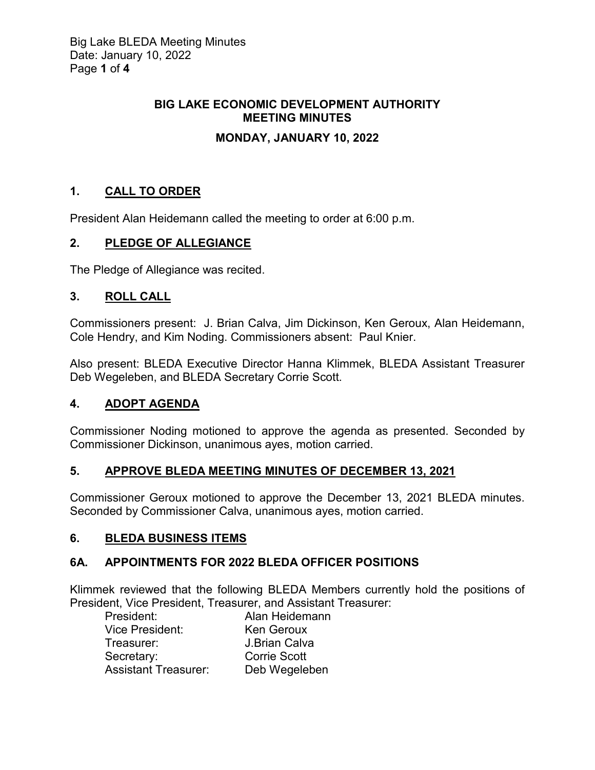# **BIG LAKE ECONOMIC DEVELOPMENT AUTHORITY MEETING MINUTES**

# **MONDAY, JANUARY 10, 2022**

# **1. CALL TO ORDER**

President Alan Heidemann called the meeting to order at 6:00 p.m.

## **2. PLEDGE OF ALLEGIANCE**

The Pledge of Allegiance was recited.

## **3. ROLL CALL**

Commissioners present: J. Brian Calva, Jim Dickinson, Ken Geroux, Alan Heidemann, Cole Hendry, and Kim Noding. Commissioners absent: Paul Knier.

Also present: BLEDA Executive Director Hanna Klimmek, BLEDA Assistant Treasurer Deb Wegeleben, and BLEDA Secretary Corrie Scott.

## **4. ADOPT AGENDA**

Commissioner Noding motioned to approve the agenda as presented. Seconded by Commissioner Dickinson, unanimous ayes, motion carried.

## **5. APPROVE BLEDA MEETING MINUTES OF DECEMBER 13, 2021**

Commissioner Geroux motioned to approve the December 13, 2021 BLEDA minutes. Seconded by Commissioner Calva, unanimous ayes, motion carried.

## **6. BLEDA BUSINESS ITEMS**

## **6A. APPOINTMENTS FOR 2022 BLEDA OFFICER POSITIONS**

Klimmek reviewed that the following BLEDA Members currently hold the positions of President, Vice President, Treasurer, and Assistant Treasurer:

| President:                  | Alan Heidemann      |
|-----------------------------|---------------------|
| Vice President:             | Ken Geroux          |
| Treasurer:                  | J.Brian Calva       |
| Secretary:                  | <b>Corrie Scott</b> |
| <b>Assistant Treasurer:</b> | Deb Wegeleben       |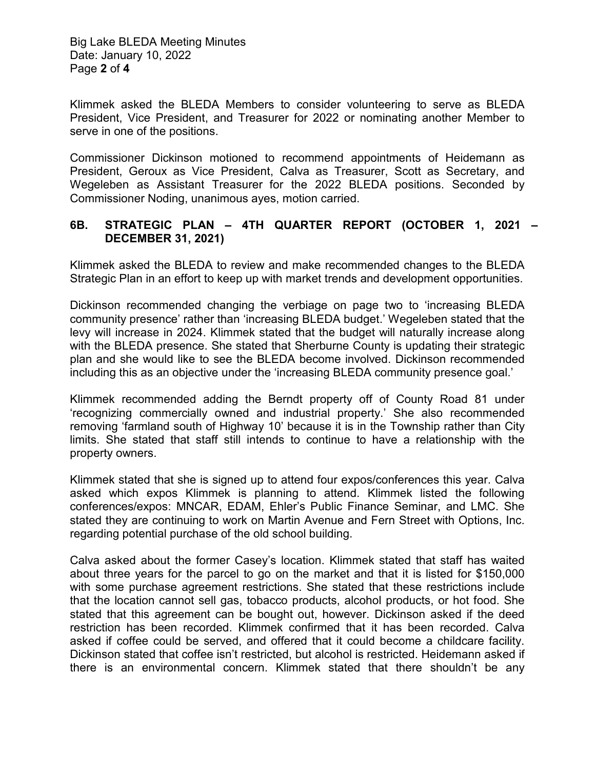Big Lake BLEDA Meeting Minutes Date: January 10, 2022 Page **2** of **4**

Klimmek asked the BLEDA Members to consider volunteering to serve as BLEDA President, Vice President, and Treasurer for 2022 or nominating another Member to serve in one of the positions.

Commissioner Dickinson motioned to recommend appointments of Heidemann as President, Geroux as Vice President, Calva as Treasurer, Scott as Secretary, and Wegeleben as Assistant Treasurer for the 2022 BLEDA positions. Seconded by Commissioner Noding, unanimous ayes, motion carried.

#### **6B. STRATEGIC PLAN – 4TH QUARTER REPORT (OCTOBER 1, 2021 – DECEMBER 31, 2021)**

Klimmek asked the BLEDA to review and make recommended changes to the BLEDA Strategic Plan in an effort to keep up with market trends and development opportunities.

Dickinson recommended changing the verbiage on page two to 'increasing BLEDA community presence' rather than 'increasing BLEDA budget.' Wegeleben stated that the levy will increase in 2024. Klimmek stated that the budget will naturally increase along with the BLEDA presence. She stated that Sherburne County is updating their strategic plan and she would like to see the BLEDA become involved. Dickinson recommended including this as an objective under the 'increasing BLEDA community presence goal.'

Klimmek recommended adding the Berndt property off of County Road 81 under 'recognizing commercially owned and industrial property.' She also recommended removing 'farmland south of Highway 10' because it is in the Township rather than City limits. She stated that staff still intends to continue to have a relationship with the property owners.

Klimmek stated that she is signed up to attend four expos/conferences this year. Calva asked which expos Klimmek is planning to attend. Klimmek listed the following conferences/expos: MNCAR, EDAM, Ehler's Public Finance Seminar, and LMC. She stated they are continuing to work on Martin Avenue and Fern Street with Options, Inc. regarding potential purchase of the old school building.

Calva asked about the former Casey's location. Klimmek stated that staff has waited about three years for the parcel to go on the market and that it is listed for \$150,000 with some purchase agreement restrictions. She stated that these restrictions include that the location cannot sell gas, tobacco products, alcohol products, or hot food. She stated that this agreement can be bought out, however. Dickinson asked if the deed restriction has been recorded. Klimmek confirmed that it has been recorded. Calva asked if coffee could be served, and offered that it could become a childcare facility. Dickinson stated that coffee isn't restricted, but alcohol is restricted. Heidemann asked if there is an environmental concern. Klimmek stated that there shouldn't be any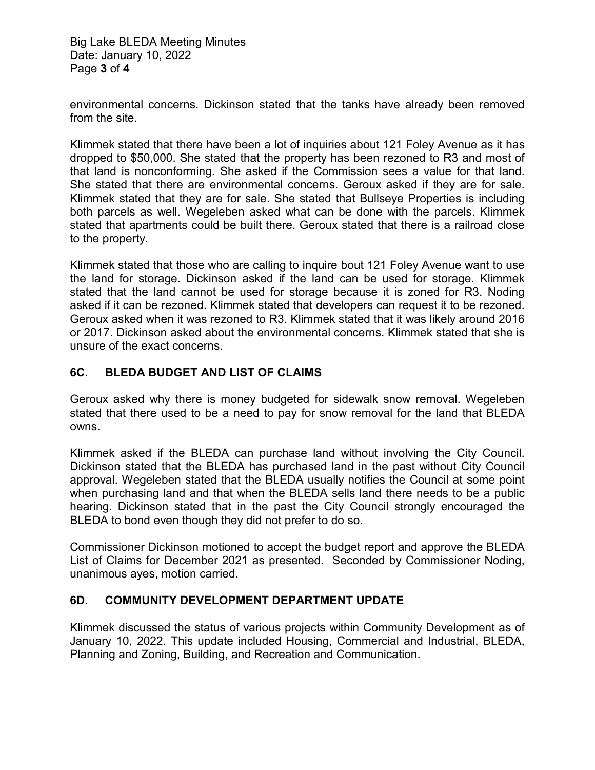Big Lake BLEDA Meeting Minutes Date: January 10, 2022 Page **3** of **4**

environmental concerns. Dickinson stated that the tanks have already been removed from the site.

Klimmek stated that there have been a lot of inquiries about 121 Foley Avenue as it has dropped to \$50,000. She stated that the property has been rezoned to R3 and most of that land is nonconforming. She asked if the Commission sees a value for that land. She stated that there are environmental concerns. Geroux asked if they are for sale. Klimmek stated that they are for sale. She stated that Bullseye Properties is including both parcels as well. Wegeleben asked what can be done with the parcels. Klimmek stated that apartments could be built there. Geroux stated that there is a railroad close to the property.

Klimmek stated that those who are calling to inquire bout 121 Foley Avenue want to use the land for storage. Dickinson asked if the land can be used for storage. Klimmek stated that the land cannot be used for storage because it is zoned for R3. Noding asked if it can be rezoned. Klimmek stated that developers can request it to be rezoned. Geroux asked when it was rezoned to R3. Klimmek stated that it was likely around 2016 or 2017. Dickinson asked about the environmental concerns. Klimmek stated that she is unsure of the exact concerns.

#### **6C. BLEDA BUDGET AND LIST OF CLAIMS**

Geroux asked why there is money budgeted for sidewalk snow removal. Wegeleben stated that there used to be a need to pay for snow removal for the land that BLEDA owns.

Klimmek asked if the BLEDA can purchase land without involving the City Council. Dickinson stated that the BLEDA has purchased land in the past without City Council approval. Wegeleben stated that the BLEDA usually notifies the Council at some point when purchasing land and that when the BLEDA sells land there needs to be a public hearing. Dickinson stated that in the past the City Council strongly encouraged the BLEDA to bond even though they did not prefer to do so.

Commissioner Dickinson motioned to accept the budget report and approve the BLEDA List of Claims for December 2021 as presented. Seconded by Commissioner Noding, unanimous ayes, motion carried.

#### **6D. COMMUNITY DEVELOPMENT DEPARTMENT UPDATE**

Klimmek discussed the status of various projects within Community Development as of January 10, 2022. This update included Housing, Commercial and Industrial, BLEDA, Planning and Zoning, Building, and Recreation and Communication.